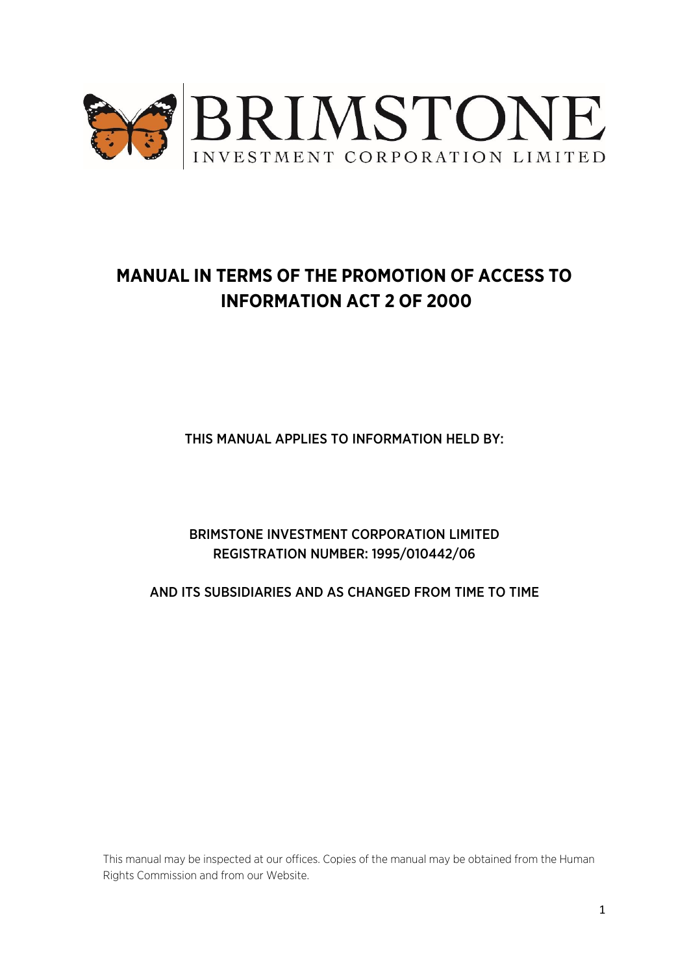

# **MANUAL IN TERMS OF THE PROMOTION OF ACCESS TO INFORMATION ACT 2 OF 2000**

THIS MANUAL APPLIES TO INFORMATION HELD BY:

BRIMSTONE INVESTMENT CORPORATION LIMITED REGISTRATION NUMBER: 1995/010442/06

AND ITS SUBSIDIARIES AND AS CHANGED FROM TIME TO TIME

This manual may be inspected at our offices. Copies of the manual may be obtained from the Human Rights Commission and from our Website.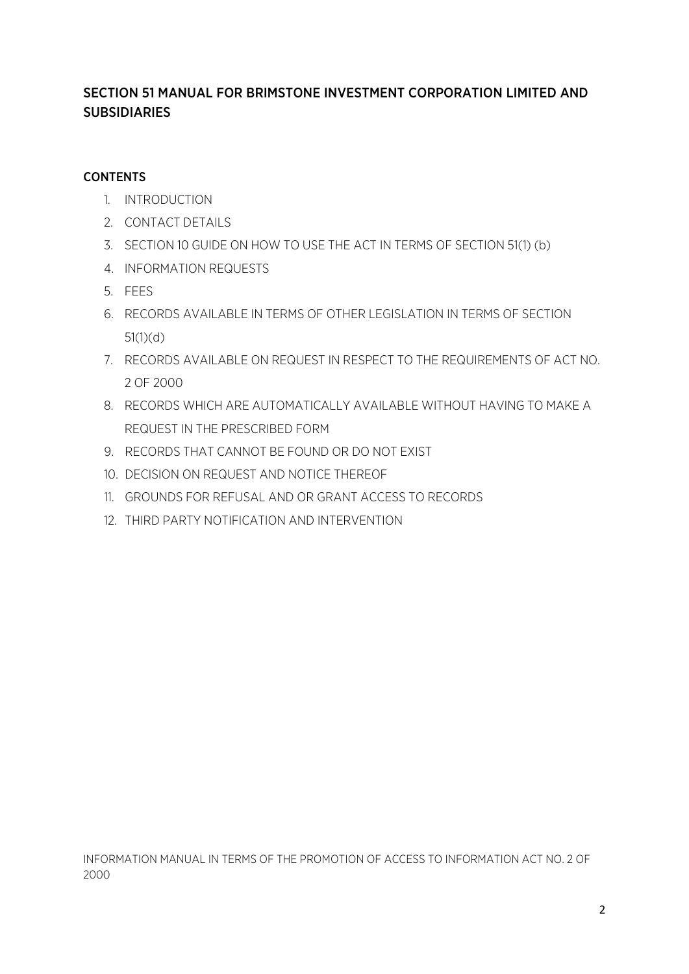## SECTION 51 MANUAL FOR BRIMSTONE INVESTMENT CORPORATION LIMITED AND SUBSIDIARIES

## **CONTENTS**

- 1. INTRODUCTION
- 2. CONTACT DETAILS
- 3. SECTION 10 GUIDE ON HOW TO USE THE ACT IN TERMS OF SECTION 51(1) (b)
- 4. INFORMATION REQUESTS
- 5. FEES
- 6. RECORDS AVAILABLE IN TERMS OF OTHER LEGISLATION IN TERMS OF SECTION 51(1)(d)
- 7. RECORDS AVAILABLE ON REQUEST IN RESPECT TO THE REQUIREMENTS OF ACT NO. 2 OF 2000
- 8. RECORDS WHICH ARE AUTOMATICALLY AVAILABLE WITHOUT HAVING TO MAKE A REQUEST IN THE PRESCRIBED FORM
- 9. RECORDS THAT CANNOT BE FOUND OR DO NOT EXIST
- 10. DECISION ON REQUEST AND NOTICE THEREOF
- 11. GROUNDS FOR REFUSAL AND OR GRANT ACCESS TO RECORDS
- 12. THIRD PARTY NOTIFICATION AND INTERVENTION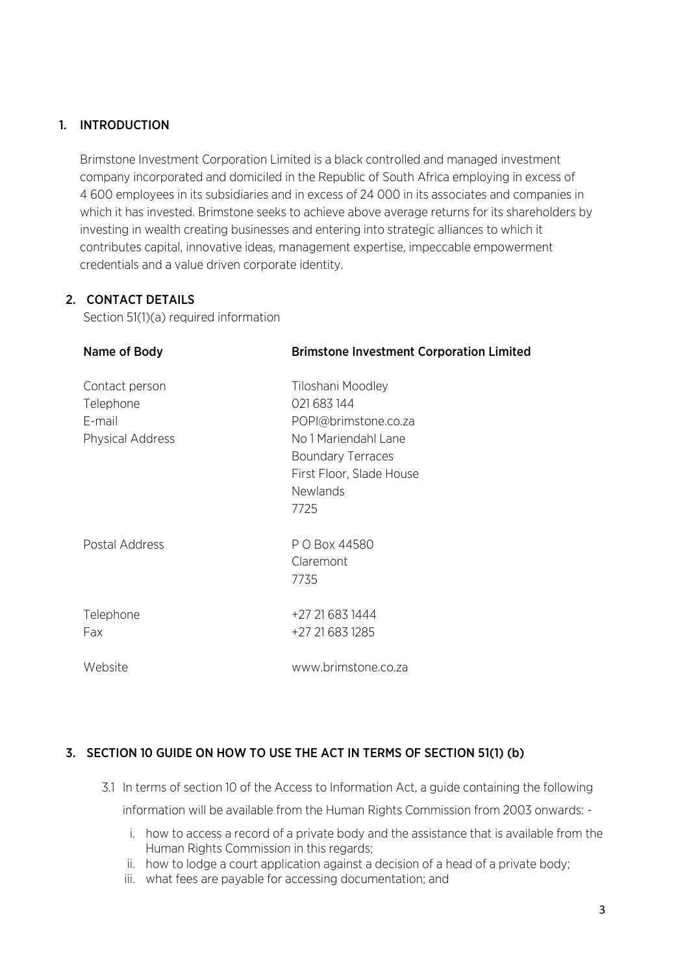## 1. INTRODUCTION

Brimstone Investment Corporation Limited is a black controlled and managed investment company incorporated and domiciled in the Republic of South Africa employing in excess of 4 600 employees in its subsidiaries and in excess of 24 000 in its associates and companies in which it has invested. Brimstone seeks to achieve above average returns for its shareholders by investing in wealth creating businesses and entering into strategic alliances to which it contributes capital, innovative ideas, management expertise, impeccable empowerment credentials and a value driven corporate identity.

## 2. CONTACT DETAILS

Section 51(1)(a) required information

| Name of Body                                              | <b>Brimstone Investment Corporation Limited</b>                                                                                                                     |
|-----------------------------------------------------------|---------------------------------------------------------------------------------------------------------------------------------------------------------------------|
| Contact person<br>Telephone<br>E-mail<br>Physical Address | Tiloshani Moodley<br>021 683 144<br>POPI@brimstone.co.za<br>No 1 Mariendahl Lane<br><b>Boundary Terraces</b><br>First Floor, Slade House<br><b>Newlands</b><br>7725 |
| Postal Address                                            | P O Box 44580<br>Claremont<br>7735                                                                                                                                  |
| Telephone<br>Fax                                          | +27 21 683 1444<br>+27 21 683 1285                                                                                                                                  |
| Website                                                   | www.brimstone.co.za                                                                                                                                                 |

## 3. SECTION 10 GUIDE ON HOW TO USE THE ACT IN TERMS OF SECTION 51(1) (b)

- 3.1 In terms of section 10 of the Access to Information Act, a guide containing the following information will be available from the Human Rights Commission from 2003 onwards:
	- i. how to access a record of a private body and the assistance that is available from the Human Rights Commission in this regards;
	- ii. how to lodge a court application against a decision of a head of a private body;
	- iii. what fees are payable for accessing documentation; and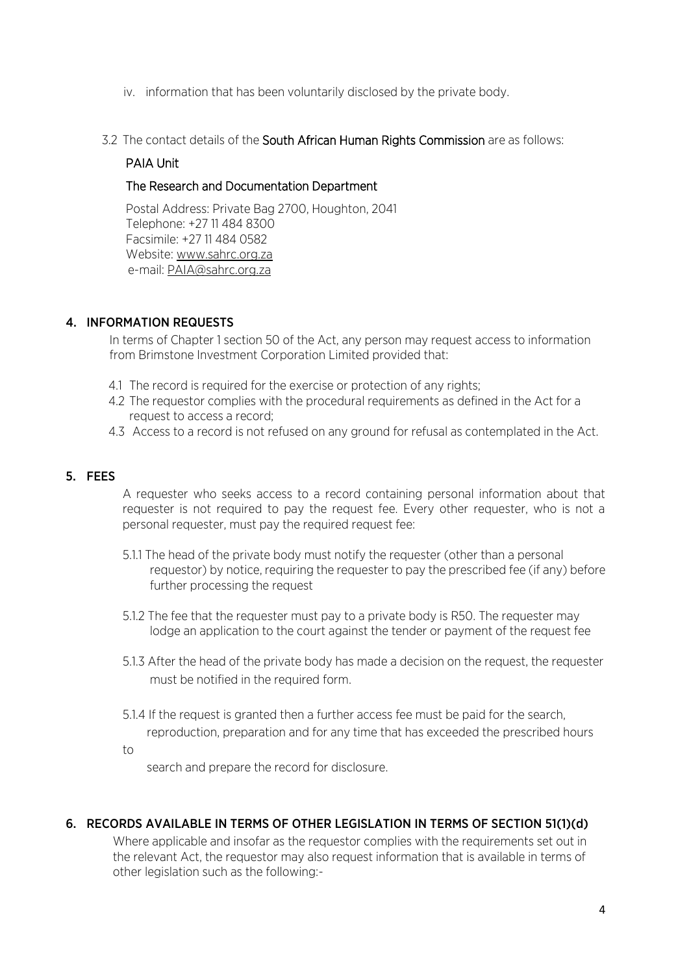- iv. information that has been voluntarily disclosed by the private body.
- 3.2 The contact details of the South African Human Rights Commission are as follows:

#### PAIA Unit

#### The Research and Documentation Department

Postal Address: Private Bag 2700, Houghton, 2041 Telephone: +27 11 484 8300 Facsimile: +27 11 484 0582 Website: [www.sahrc.org.za](http://www.sahrc.org.za/) e-mail[: PAIA@sahrc.org.za](mailto:PAIA@sahrc.org.za)

#### 4. INFORMATION REQUESTS

In terms of Chapter 1 section 50 of the Act, any person may request access to information from Brimstone Investment Corporation Limited provided that:

- 4.1 The record is required for the exercise or protection of any rights;
- 4.2 The requestor complies with the procedural requirements as defined in the Act for a request to access a record;
- 4.3 Access to a record is not refused on any ground for refusal as contemplated in the Act.

#### 5. FEES

to

A requester who seeks access to a record containing personal information about that requester is not required to pay the request fee. Every other requester, who is not a personal requester, must pay the required request fee:

- 5.1.1 The head of the private body must notify the requester (other than a personal requestor) by notice, requiring the requester to pay the prescribed fee (if any) before further processing the request
- 5.1.2 The fee that the requester must pay to a private body is R50. The requester may lodge an application to the court against the tender or payment of the request fee
- 5.1.3 After the head of the private body has made a decision on the request, the requester must be notified in the required form.
- 5.1.4 If the request is granted then a further access fee must be paid for the search,
	- reproduction, preparation and for any time that has exceeded the prescribed hours

search and prepare the record for disclosure.

#### 6. RECORDS AVAILABLE IN TERMS OF OTHER LEGISLATION IN TERMS OF SECTION 51(1)(d)

Where applicable and insofar as the requestor complies with the requirements set out in the relevant Act, the requestor may also request information that is available in terms of other legislation such as the following:-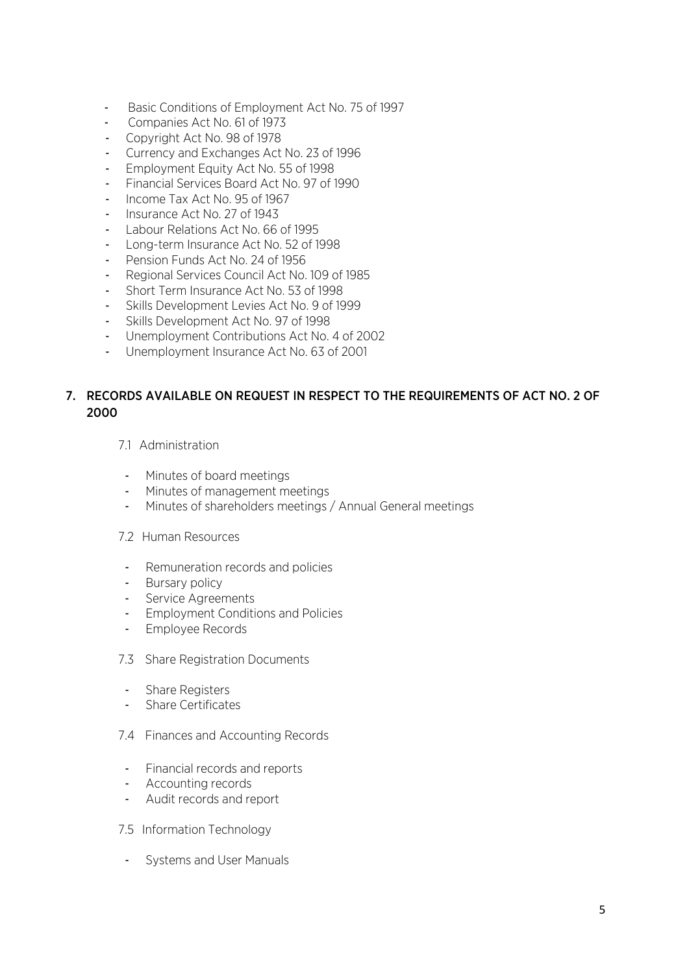- Basic Conditions of Employment Act No. 75 of 1997
- Companies Act No. 61 of 1973
- Copyright Act No. 98 of 1978
- Currency and Exchanges Act No. 23 of 1996
- Employment Equity Act No. 55 of 1998
- Financial Services Board Act No. 97 of 1990
- Income Tax Act No. 95 of 1967
- Insurance Act No. 27 of 1943
- Labour Relations Act No. 66 of 1995
- Long-term Insurance Act No. 52 of 1998
- Pension Funds Act No. 24 of 1956
- Regional Services Council Act No. 109 of 1985
- Short Term Insurance Act No. 53 of 1998
- Skills Development Levies Act No. 9 of 1999
- Skills Development Act No. 97 of 1998
- Unemployment Contributions Act No. 4 of 2002
- Unemployment Insurance Act No. 63 of 2001

## 7. RECORDS AVAILABLE ON REQUEST IN RESPECT TO THE REQUIREMENTS OF ACT NO. 2 OF 2000

- 7.1 Administration
- Minutes of board meetings
- Minutes of management meetings
- Minutes of shareholders meetings / Annual General meetings
- 7.2 Human Resources
- Remuneration records and policies
- Bursary policy
- Service Agreements
- Employment Conditions and Policies
- Employee Records
- 7.3 Share Registration Documents
- Share Registers
- Share Certificates
- 7.4 Finances and Accounting Records
- Financial records and reports
- Accounting records
- Audit records and report
- 7.5 Information Technology
- Systems and User Manuals